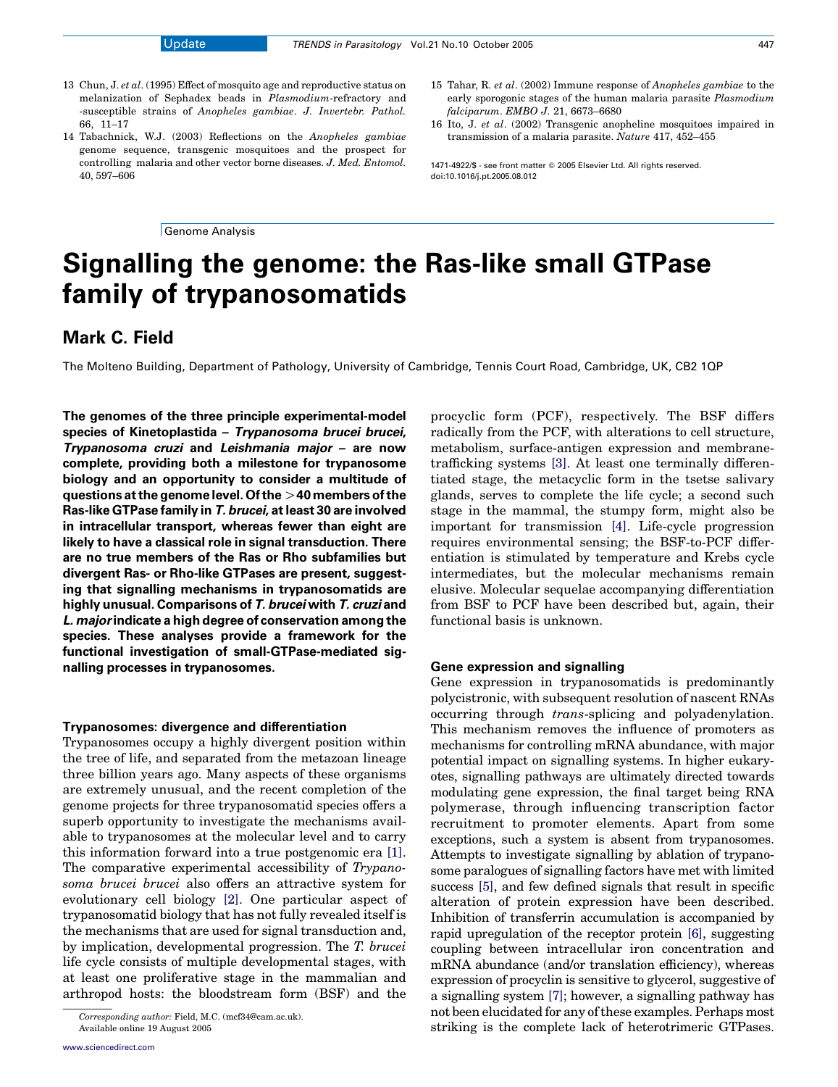- 13 Chun, J. et al. (1995) Effect of mosquito age and reproductive status on melanization of Sephadex beads in Plasmodium-refractory and -susceptible strains of Anopheles gambiae. J. Invertebr. Pathol. 66, 11–17
- 14 Tabachnick, W.J. (2003) Reflections on the Anopheles gambiae genome sequence, transgenic mosquitoes and the prospect for controlling malaria and other vector borne diseases. J. Med. Entomol. 40, 597–606

Genome Analysis

- 15 Tahar, R. et al. (2002) Immune response of Anopheles gambiae to the early sporogonic stages of the human malaria parasite Plasmodium falciparum. EMBO J. 21, 6673–6680
- 16 Ito, J. et al. (2002) Transgenic anopheline mosquitoes impaired in transmission of a malaria parasite. Nature 417, 452–455

1471-4922/\$ - see front matter © 2005 Elsevier Ltd. All rights reserved. doi:10.1016/j.pt.2005.08.012

# Signalling the genome: the Ras-like small GTPase family of trypanosomatids

## Mark C. Field

The Molteno Building, Department of Pathology, University of Cambridge, Tennis Court Road, Cambridge, UK, CB2 1QP

The genomes of the three principle experimental-model species of Kinetoplastida – Trypanosoma brucei brucei, Trypanosoma cruzi and Leishmania major – are now complete, providing both a milestone for trypanosome biology and an opportunity to consider a multitude of questions at the genome level. Of the  $>$ 40 members of the Ras-like GTPase family in T. brucei, at least 30 are involved in intracellular transport, whereas fewer than eight are likely to have a classical role in signal transduction. There are no true members of the Ras or Rho subfamilies but divergent Ras- or Rho-like GTPases are present, suggesting that signalling mechanisms in trypanosomatids are highly unusual. Comparisons of T. brucei with T. cruzi and L. majorindicate a high degree of conservation among the species. These analyses provide a framework for the functional investigation of small-GTPase-mediated signalling processes in trypanosomes.

## Trypanosomes: divergence and differentiation

Trypanosomes occupy a highly divergent position within the tree of life, and separated from the metazoan lineage three billion years ago. Many aspects of these organisms are extremely unusual, and the recent completion of the genome projects for three trypanosomatid species offers a superb opportunity to investigate the mechanisms available to trypanosomes at the molecular level and to carry this information forward into a true postgenomic era [\[1\]](#page-3-0). The comparative experimental accessibility of Trypanosoma brucei brucei also offers an attractive system for evolutionary cell biology [\[2\].](#page-3-0) One particular aspect of trypanosomatid biology that has not fully revealed itself is the mechanisms that are used for signal transduction and, by implication, developmental progression. The T. brucei life cycle consists of multiple developmental stages, with at least one proliferative stage in the mammalian and arthropod hosts: the bloodstream form (BSF) and the

procyclic form (PCF), respectively. The BSF differs radically from the PCF, with alterations to cell structure, metabolism, surface-antigen expression and membranetrafficking systems [\[3\]](#page-3-0). At least one terminally differentiated stage, the metacyclic form in the tsetse salivary glands, serves to complete the life cycle; a second such stage in the mammal, the stumpy form, might also be important for transmission [\[4\]](#page-3-0). Life-cycle progression requires environmental sensing; the BSF-to-PCF differentiation is stimulated by temperature and Krebs cycle intermediates, but the molecular mechanisms remain elusive. Molecular sequelae accompanying differentiation from BSF to PCF have been described but, again, their functional basis is unknown.

#### Gene expression and signalling

Gene expression in trypanosomatids is predominantly polycistronic, with subsequent resolution of nascent RNAs occurring through trans-splicing and polyadenylation. This mechanism removes the influence of promoters as mechanisms for controlling mRNA abundance, with major potential impact on signalling systems. In higher eukaryotes, signalling pathways are ultimately directed towards modulating gene expression, the final target being RNA polymerase, through influencing transcription factor recruitment to promoter elements. Apart from some exceptions, such a system is absent from trypanosomes. Attempts to investigate signalling by ablation of trypanosome paralogues of signalling factors have met with limited success [\[5\],](#page-3-0) and few defined signals that result in specific alteration of protein expression have been described. Inhibition of transferrin accumulation is accompanied by rapid upregulation of the receptor protein [\[6\],](#page-3-0) suggesting coupling between intracellular iron concentration and mRNA abundance (and/or translation efficiency), whereas expression of procyclin is sensitive to glycerol, suggestive of a signalling system [\[7\];](#page-3-0) however, a signalling pathway has not been elucidated for any of these examples. Perhaps most striking is the complete lack of heterotrimeric GTPases.

Corresponding author: Field, M.C. (mcf34@cam.ac.uk). Available online 19 August 2005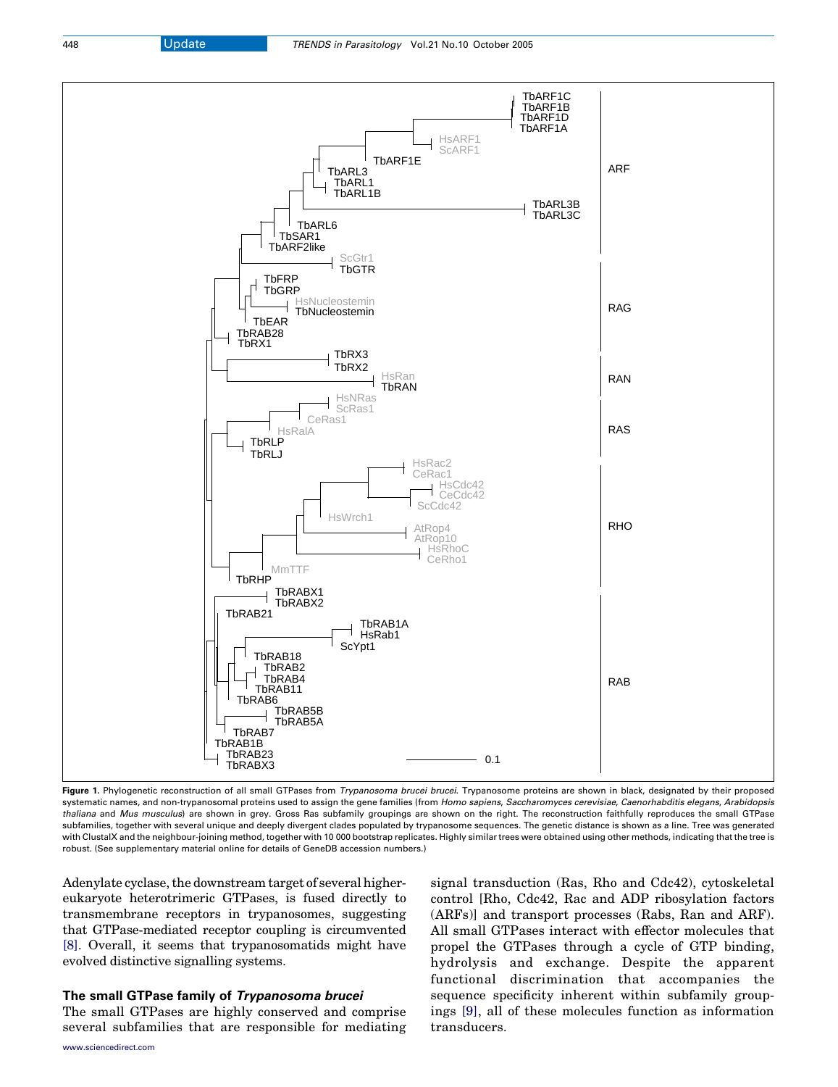<span id="page-1-0"></span>

Figure 1. Phylogenetic reconstruction of all small GTPases from Trypanosoma brucei brucei. Trypanosome proteins are shown in black, designated by their proposed systematic names, and non-trypanosomal proteins used to assign the gene families (from Homo sapiens, Saccharomyces cerevisiae, Caenorhabditis elegans, Arabidopsis thaliana and Mus musculus) are shown in grey. Gross Ras subfamily groupings are shown on the right. The reconstruction faithfully reproduces the small GTPase subfamilies, together with several unique and deeply divergent clades populated by trypanosome sequences. The genetic distance is shown as a line. Tree was generated with ClustalX and the neighbour-joining method, together with 10 000 bootstrap replicates. Highly similar trees were obtained using other methods, indicating that the tree is robust. (See supplementary material online for details of GeneDB accession numbers.)

Adenylate cyclase, the downstream target of several highereukaryote heterotrimeric GTPases, is fused directly to transmembrane receptors in trypanosomes, suggesting that GTPase-mediated receptor coupling is circumvented [\[8\]](#page-3-0). Overall, it seems that trypanosomatids might have evolved distinctive signalling systems.

## The small GTPase family of Trypanosoma brucei

The small GTPases are highly conserved and comprise several subfamilies that are responsible for mediating signal transduction (Ras, Rho and Cdc42), cytoskeletal control [Rho, Cdc42, Rac and ADP ribosylation factors (ARFs)] and transport processes (Rabs, Ran and ARF). All small GTPases interact with effector molecules that propel the GTPases through a cycle of GTP binding, hydrolysis and exchange. Despite the apparent functional discrimination that accompanies the sequence specificity inherent within subfamily groupings [\[9\]](#page-3-0), all of these molecules function as information transducers.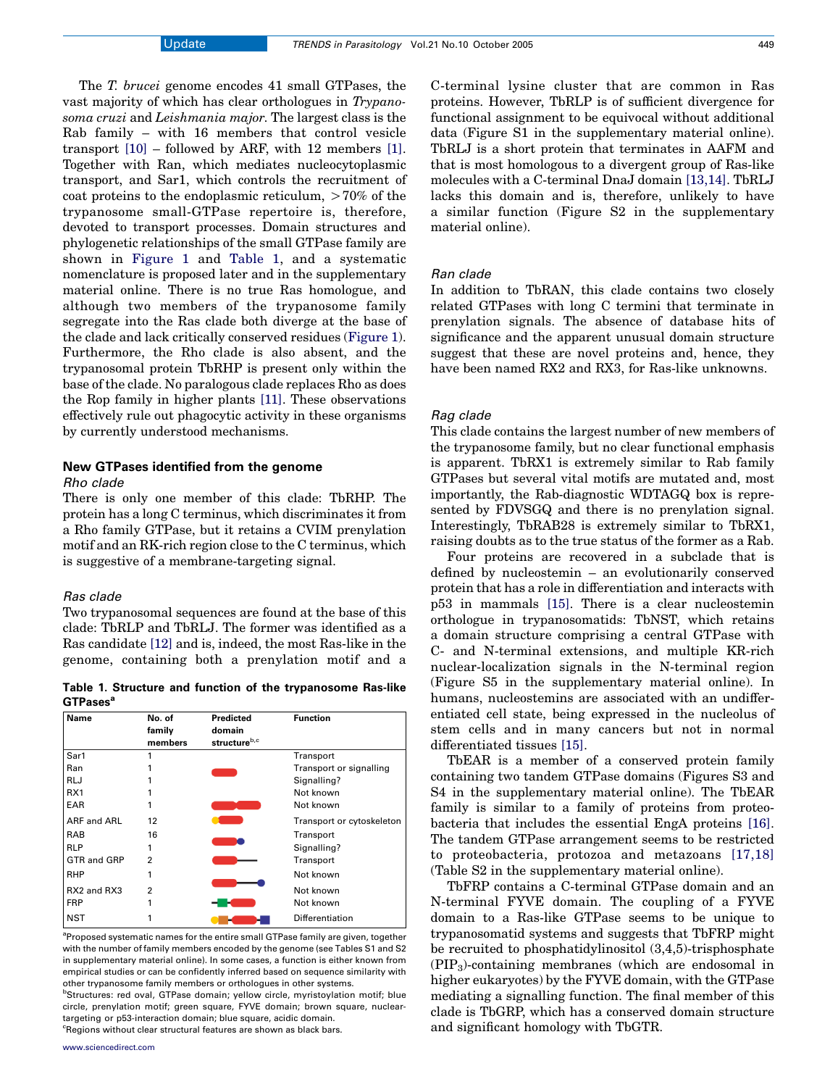C-terminal lysine cluster that are common in Ras proteins. However, TbRLP is of sufficient divergence for functional assignment to be equivocal without additional data (Figure S1 in the supplementary material online). TbRLJ is a short protein that terminates in AAFM and that is most homologous to a divergent group of Ras-like molecules with a C-terminal DnaJ domain [\[13,14\].](#page-3-0) TbRLJ lacks this domain and is, therefore, unlikely to have a similar function (Figure S2 in the supplementary material online).

## Ran clade

In addition to TbRAN, this clade contains two closely related GTPases with long C termini that terminate in prenylation signals. The absence of database hits of significance and the apparent unusual domain structure suggest that these are novel proteins and, hence, they have been named RX2 and RX3, for Ras-like unknowns.

## Rag clade

This clade contains the largest number of new members of the trypanosome family, but no clear functional emphasis is apparent. TbRX1 is extremely similar to Rab family GTPases but several vital motifs are mutated and, most importantly, the Rab-diagnostic WDTAGQ box is represented by FDVSGQ and there is no prenylation signal. Interestingly, TbRAB28 is extremely similar to TbRX1, raising doubts as to the true status of the former as a Rab.

Four proteins are recovered in a subclade that is defined by nucleostemin – an evolutionarily conserved protein that has a role in differentiation and interacts with p53 in mammals [\[15\]](#page-3-0). There is a clear nucleostemin orthologue in trypanosomatids: TbNST, which retains a domain structure comprising a central GTPase with C- and N-terminal extensions, and multiple KR-rich nuclear-localization signals in the N-terminal region (Figure S5 in the supplementary material online). In humans, nucleostemins are associated with an undifferentiated cell state, being expressed in the nucleolus of stem cells and in many cancers but not in normal differentiated tissues [\[15\].](#page-3-0)

TbEAR is a member of a conserved protein family containing two tandem GTPase domains (Figures S3 and S4 in the supplementary material online). The TbEAR family is similar to a family of proteins from proteobacteria that includes the essential EngA proteins [\[16\]](#page-3-0). The tandem GTPase arrangement seems to be restricted to proteobacteria, protozoa and metazoans [\[17,18\]](#page-3-0) (Table S2 in the supplementary material online).

TbFRP contains a C-terminal GTPase domain and an N-terminal FYVE domain. The coupling of a FYVE domain to a Ras-like GTPase seems to be unique to trypanosomatid systems and suggests that TbFRP might be recruited to phosphatidylinositol (3,4,5)-trisphosphate  $(PIP<sub>3</sub>)$ -containing membranes (which are endosomal in higher eukaryotes) by the FYVE domain, with the GTPase mediating a signalling function. The final member of this clade is TbGRP, which has a conserved domain structure and significant homology with TbGTR.

The T. brucei genome encodes 41 small GTPases, the vast majority of which has clear orthologues in Trypanosoma cruzi and Leishmania major. The largest class is the Rab family – with 16 members that control vesicle transport [\[10\]](#page-3-0) – followed by ARF, with 12 members [\[1\]](#page-3-0). Together with Ran, which mediates nucleocytoplasmic transport, and Sar1, which controls the recruitment of coat proteins to the endoplasmic reticulum,  $>70\%$  of the trypanosome small-GTPase repertoire is, therefore, devoted to transport processes. Domain structures and phylogenetic relationships of the small GTPase family are shown in [Figure 1](#page-1-0) and Table 1, and a systematic nomenclature is proposed later and in the supplementary material online. There is no true Ras homologue, and although two members of the trypanosome family segregate into the Ras clade both diverge at the base of the clade and lack critically conserved residues [\(Figure 1](#page-1-0)). Furthermore, the Rho clade is also absent, and the trypanosomal protein TbRHP is present only within the base of the clade. No paralogous clade replaces Rho as does the Rop family in higher plants [\[11\]](#page-3-0). These observations effectively rule out phagocytic activity in these organisms by currently understood mechanisms.

# New GTPases identified from the genome

## Rho clade

There is only one member of this clade: TbRHP. The protein has a long C terminus, which discriminates it from a Rho family GTPase, but it retains a CVIM prenylation motif and an RK-rich region close to the C terminus, which is suggestive of a membrane-targeting signal.

## Ras clade

Two trypanosomal sequences are found at the base of this clade: TbRLP and TbRLJ. The former was identified as a Ras candidate [\[12\]](#page-3-0) and is, indeed, the most Ras-like in the genome, containing both a prenylation motif and a

Table 1. Structure and function of the trypanosome Ras-like GTPases<sup>a</sup>

| Name            | No. of<br>family<br>members | Predicted<br>domain<br>structureb,c | <b>Function</b>           |
|-----------------|-----------------------------|-------------------------------------|---------------------------|
| Sar1            | 1                           |                                     | Transport                 |
| Ran             |                             |                                     | Transport or signalling   |
| <b>RLJ</b>      |                             |                                     | Signalling?               |
| RX <sub>1</sub> |                             |                                     | Not known                 |
| EAR             |                             |                                     | Not known                 |
| ARF and ARL     | 12                          |                                     | Transport or cytoskeleton |
| <b>RAB</b>      | 16                          |                                     | Transport                 |
| <b>RLP</b>      |                             |                                     | Signalling?               |
| GTR and GRP     | 2                           |                                     | Transport                 |
| <b>RHP</b>      |                             |                                     | Not known                 |
| RX2 and RX3     | 2                           |                                     | Not known                 |
| <b>FRP</b>      |                             |                                     | Not known                 |
| <b>NST</b>      |                             |                                     | Differentiation           |

<sup>a</sup>Proposed systematic names for the entire small GTPase family are given, together with the number of family members encoded by the genome (see Tables S1 and S2 in supplementary material online). In some cases, a function is either known from empirical studies or can be confidently inferred based on sequence similarity with other trypanosome family members or orthologues in other systems.

<sup>b</sup>Structures: red oval, GTPase domain; yellow circle, myristoylation motif; blue circle, prenylation motif; green square, FYVE domain; brown square, nucleartargeting or p53-interaction domain; blue square, acidic domain. <sup>c</sup>Regions without clear structural features are shown as black bars.